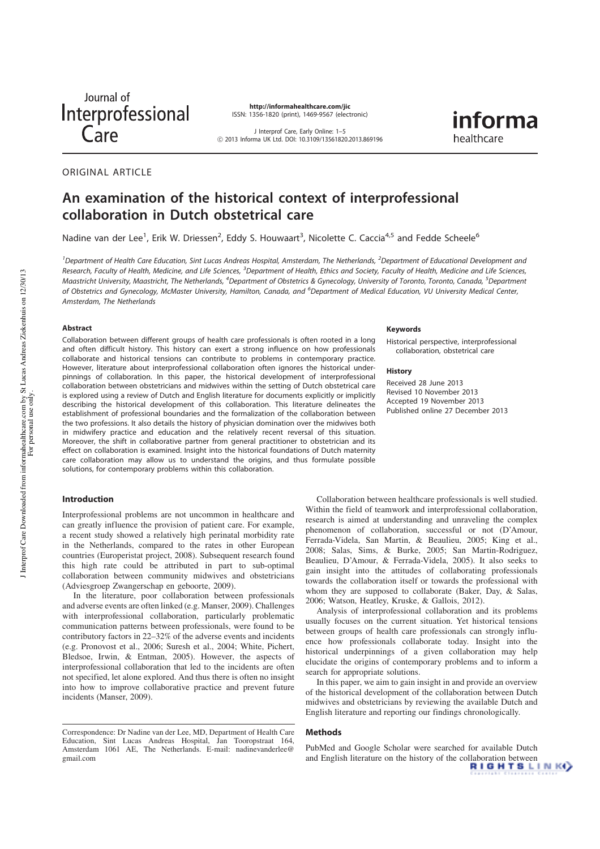http://informahealthcare.com/jic ISSN: 1356-1820 (print), 1469-9567 (electronic)

J Interprof Care, Early Online: 1–5 ! 2013 Informa UK Ltd. DOI: 10.3109/13561820.2013.869196



# ORIGINAL ARTICLE

# An examination of the historical context of interprofessional collaboration in Dutch obstetrical care

Nadine van der Lee<sup>1</sup>, Erik W. Driessen<sup>2</sup>, Eddy S. Houwaart<sup>3</sup>, Nicolette C. Caccia<sup>4,5</sup> and Fedde Scheele<sup>6</sup>

<sup>1</sup> Department of Health Care Education, Sint Lucas Andreas Hospital, Amsterdam, The Netherlands, <sup>2</sup> Department of Educational Development and Research, Faculty of Health, Medicine, and Life Sciences, <sup>3</sup>Department of Health, Ethics and Society, Faculty of Health, Medicine and Life Sciences, Maastricht University, Maastricht, The Netherlands, <sup>4</sup>Department of Obstetrics & Gynecology, University of Toronto, Toronto, Canada, <sup>5</sup>Department of Obstetrics and Gynecology, McMaster University, Hamilton, Canada, and <sup>6</sup>Department of Medical Education, VU University Medical Center, Amsterdam, The Netherlands

#### Abstract

Collaboration between different groups of health care professionals is often rooted in a long and often difficult history. This history can exert a strong influence on how professionals collaborate and historical tensions can contribute to problems in contemporary practice. However, literature about interprofessional collaboration often ignores the historical underpinnings of collaboration. In this paper, the historical development of interprofessional collaboration between obstetricians and midwives within the setting of Dutch obstetrical care is explored using a review of Dutch and English literature for documents explicitly or implicitly describing the historical development of this collaboration. This literature delineates the establishment of professional boundaries and the formalization of the collaboration between the two professions. It also details the history of physician domination over the midwives both in midwifery practice and education and the relatively recent reversal of this situation. Moreover, the shift in collaborative partner from general practitioner to obstetrician and its effect on collaboration is examined. Insight into the historical foundations of Dutch maternity care collaboration may allow us to understand the origins, and thus formulate possible solutions, for contemporary problems within this collaboration.

#### Introduction

Interprofessional problems are not uncommon in healthcare and can greatly influence the provision of patient care. For example, a recent study showed a relatively high perinatal morbidity rate in the Netherlands, compared to the rates in other European countries (Europeristat project, 2008). Subsequent research found this high rate could be attributed in part to sub-optimal collaboration between community midwives and obstetricians (Adviesgroep Zwangerschap en geboorte, 2009).

In the literature, poor collaboration between professionals and adverse events are often linked (e.g. Manser, 2009). Challenges with interprofessional collaboration, particularly problematic communication patterns between professionals, were found to be contributory factors in 22–32% of the adverse events and incidents (e.g. Pronovost et al., 2006; Suresh et al., 2004; White, Pichert, Bledsoe, Irwin, & Entman, 2005). However, the aspects of interprofessional collaboration that led to the incidents are often not specified, let alone explored. And thus there is often no insight into how to improve collaborative practice and prevent future incidents (Manser, 2009).

#### Keywords

Historical perspective, interprofessional collaboration, obstetrical care

#### History

Received 28 June 2013 Revised 10 November 2013 Accepted 19 November 2013 Published online 27 December 2013

Collaboration between healthcare professionals is well studied. Within the field of teamwork and interprofessional collaboration, research is aimed at understanding and unraveling the complex phenomenon of collaboration, successful or not (D'Amour, Ferrada-Videla, San Martin, & Beaulieu, 2005; King et al., 2008; Salas, Sims, & Burke, 2005; San Martin-Rodriguez, Beaulieu, D'Amour, & Ferrada-Videla, 2005). It also seeks to gain insight into the attitudes of collaborating professionals towards the collaboration itself or towards the professional with whom they are supposed to collaborate (Baker, Day, & Salas, 2006; Watson, Heatley, Kruske, & Gallois, 2012).

Analysis of interprofessional collaboration and its problems usually focuses on the current situation. Yet historical tensions between groups of health care professionals can strongly influence how professionals collaborate today. Insight into the historical underpinnings of a given collaboration may help elucidate the origins of contemporary problems and to inform a search for appropriate solutions.

In this paper, we aim to gain insight in and provide an overview of the historical development of the collaboration between Dutch midwives and obstetricians by reviewing the available Dutch and English literature and reporting our findings chronologically.

# Methods

Correspondence: Dr Nadine van der Lee, MD, Department of Health Care Education, Sint Lucas Andreas Hospital, Jan Tooropstraat 164, Amsterdam 1061 AE, The Netherlands. E-mail: nadinevanderlee@ gmail.com

PubMed and Google Scholar were searched for available Dutch and English literature on the history of the collaboration between<br> $\mathbf{R} \mathbf{I} \mathbf{G} \mathbf{H} \mathbf{T} \mathbf{S} \mathbf{L} \mathbf{I} \mathbf{N} \mathbf{K}$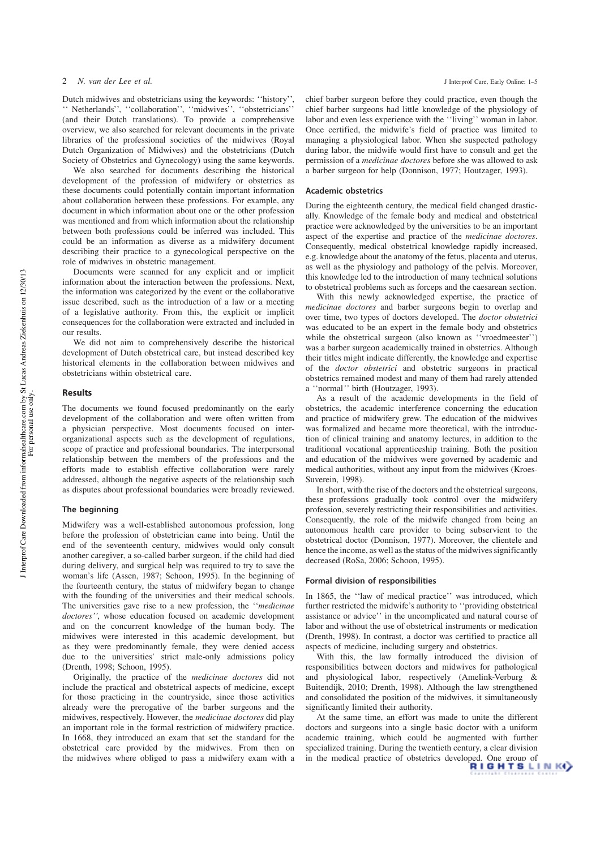### 2 N. van der Lee et al. J Interprof Care, Early Online: 1–5

Dutch midwives and obstetricians using the keywords: ''history'', '' Netherlands'', ''collaboration'', ''midwives'', ''obstetricians'' (and their Dutch translations). To provide a comprehensive overview, we also searched for relevant documents in the private libraries of the professional societies of the midwives (Royal Dutch Organization of Midwives) and the obstetricians (Dutch Society of Obstetrics and Gynecology) using the same keywords.

We also searched for documents describing the historical development of the profession of midwifery or obstetrics as these documents could potentially contain important information about collaboration between these professions. For example, any document in which information about one or the other profession was mentioned and from which information about the relationship between both professions could be inferred was included. This could be an information as diverse as a midwifery document describing their practice to a gynecological perspective on the role of midwives in obstetric management.

Documents were scanned for any explicit and or implicit information about the interaction between the professions. Next, the information was categorized by the event or the collaborative issue described, such as the introduction of a law or a meeting of a legislative authority. From this, the explicit or implicit consequences for the collaboration were extracted and included in our results.

We did not aim to comprehensively describe the historical development of Dutch obstetrical care, but instead described key historical elements in the collaboration between midwives and obstetricians within obstetrical care.

#### Results

The documents we found focused predominantly on the early development of the collaboration and were often written from a physician perspective. Most documents focused on interorganizational aspects such as the development of regulations, scope of practice and professional boundaries. The interpersonal relationship between the members of the professions and the efforts made to establish effective collaboration were rarely addressed, although the negative aspects of the relationship such as disputes about professional boundaries were broadly reviewed.

#### The beginning

Midwifery was a well-established autonomous profession, long before the profession of obstetrician came into being. Until the end of the seventeenth century, midwives would only consult another caregiver, a so-called barber surgeon, if the child had died during delivery, and surgical help was required to try to save the woman's life (Assen, 1987; Schoon, 1995). In the beginning of the fourteenth century, the status of midwifery began to change with the founding of the universities and their medical schools. The universities gave rise to a new profession, the ''medicinae doctores'', whose education focused on academic development and on the concurrent knowledge of the human body. The midwives were interested in this academic development, but as they were predominantly female, they were denied access due to the universities' strict male-only admissions policy (Drenth, 1998; Schoon, 1995).

Originally, the practice of the medicinae doctores did not include the practical and obstetrical aspects of medicine, except for those practicing in the countryside, since those activities already were the prerogative of the barber surgeons and the midwives, respectively. However, the medicinae doctores did play an important role in the formal restriction of midwifery practice. In 1668, they introduced an exam that set the standard for the obstetrical care provided by the midwives. From then on the midwives where obliged to pass a midwifery exam with a chief barber surgeon before they could practice, even though the chief barber surgeons had little knowledge of the physiology of labor and even less experience with the ''living'' woman in labor. Once certified, the midwife's field of practice was limited to managing a physiological labor. When she suspected pathology during labor, the midwife would first have to consult and get the permission of a medicinae doctores before she was allowed to ask a barber surgeon for help (Donnison, 1977; Houtzager, 1993).

#### Academic obstetrics

During the eighteenth century, the medical field changed drastically. Knowledge of the female body and medical and obstetrical practice were acknowledged by the universities to be an important aspect of the expertise and practice of the medicinae doctores. Consequently, medical obstetrical knowledge rapidly increased, e.g. knowledge about the anatomy of the fetus, placenta and uterus, as well as the physiology and pathology of the pelvis. Moreover, this knowledge led to the introduction of many technical solutions to obstetrical problems such as forceps and the caesarean section.

With this newly acknowledged expertise, the practice of medicinae doctores and barber surgeons begin to overlap and over time, two types of doctors developed. The doctor obstetrici was educated to be an expert in the female body and obstetrics while the obstetrical surgeon (also known as "vroedmeester") was a barber surgeon academically trained in obstetrics. Although their titles might indicate differently, the knowledge and expertise of the doctor obstetrici and obstetric surgeons in practical obstetrics remained modest and many of them had rarely attended a ''normal'' birth (Houtzager, 1993).

As a result of the academic developments in the field of obstetrics, the academic interference concerning the education and practice of midwifery grew. The education of the midwives was formalized and became more theoretical, with the introduction of clinical training and anatomy lectures, in addition to the traditional vocational apprenticeship training. Both the position and education of the midwives were governed by academic and medical authorities, without any input from the midwives (Kroes-Suverein, 1998).

In short, with the rise of the doctors and the obstetrical surgeons, these professions gradually took control over the midwifery profession, severely restricting their responsibilities and activities. Consequently, the role of the midwife changed from being an autonomous health care provider to being subservient to the obstetrical doctor (Donnison, 1977). Moreover, the clientele and hence the income, as well as the status of the midwives significantly decreased (RoSa, 2006; Schoon, 1995).

#### Formal division of responsibilities

In 1865, the ''law of medical practice'' was introduced, which further restricted the midwife's authority to ''providing obstetrical assistance or advice'' in the uncomplicated and natural course of labor and without the use of obstetrical instruments or medication (Drenth, 1998). In contrast, a doctor was certified to practice all aspects of medicine, including surgery and obstetrics.

With this, the law formally introduced the division of responsibilities between doctors and midwives for pathological and physiological labor, respectively (Amelink-Verburg & Buitendijk, 2010; Drenth, 1998). Although the law strengthened and consolidated the position of the midwives, it simultaneously significantly limited their authority.

At the same time, an effort was made to unite the different doctors and surgeons into a single basic doctor with a uniform academic training, which could be augmented with further specialized training. During the twentieth century, a clear division in the medical practice of obstetrics developed. One group of  $\mathbf{R} \mathbf{I} \mathbf{G} \mathbf{H} \mathbf{T} \mathbf{S} \mathbf{L} \mathbf{I} \mathbf{N} \mathbf{K}$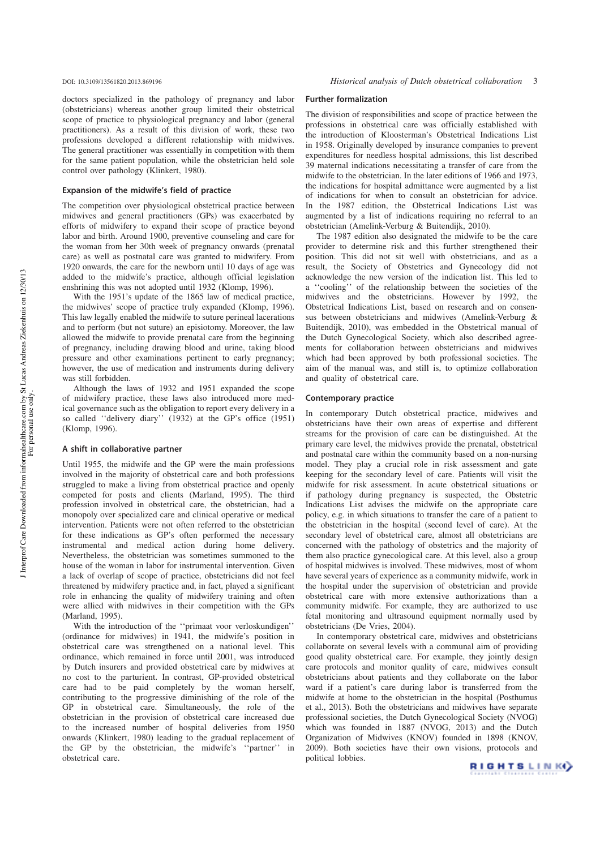doctors specialized in the pathology of pregnancy and labor (obstetricians) whereas another group limited their obstetrical scope of practice to physiological pregnancy and labor (general practitioners). As a result of this division of work, these two professions developed a different relationship with midwives. The general practitioner was essentially in competition with them for the same patient population, while the obstetrician held sole control over pathology (Klinkert, 1980).

### Expansion of the midwife's field of practice

The competition over physiological obstetrical practice between midwives and general practitioners (GPs) was exacerbated by efforts of midwifery to expand their scope of practice beyond labor and birth. Around 1900, preventive counseling and care for the woman from her 30th week of pregnancy onwards (prenatal care) as well as postnatal care was granted to midwifery. From 1920 onwards, the care for the newborn until 10 days of age was added to the midwife's practice, although official legislation enshrining this was not adopted until 1932 (Klomp, 1996).

With the 1951's update of the 1865 law of medical practice, the midwives' scope of practice truly expanded (Klomp, 1996). This law legally enabled the midwife to suture perineal lacerations and to perform (but not suture) an episiotomy. Moreover, the law allowed the midwife to provide prenatal care from the beginning of pregnancy, including drawing blood and urine, taking blood pressure and other examinations pertinent to early pregnancy; however, the use of medication and instruments during delivery was still forbidden.

Although the laws of 1932 and 1951 expanded the scope of midwifery practice, these laws also introduced more medical governance such as the obligation to report every delivery in a so called ''delivery diary'' (1932) at the GP's office (1951) (Klomp, 1996).

#### A shift in collaborative partner

Until 1955, the midwife and the GP were the main professions involved in the majority of obstetrical care and both professions struggled to make a living from obstetrical practice and openly competed for posts and clients (Marland, 1995). The third profession involved in obstetrical care, the obstetrician, had a monopoly over specialized care and clinical operative or medical intervention. Patients were not often referred to the obstetrician for these indications as GP's often performed the necessary instrumental and medical action during home delivery. Nevertheless, the obstetrician was sometimes summoned to the house of the woman in labor for instrumental intervention. Given a lack of overlap of scope of practice, obstetricians did not feel threatened by midwifery practice and, in fact, played a significant role in enhancing the quality of midwifery training and often were allied with midwives in their competition with the GPs (Marland, 1995).

With the introduction of the ''primaat voor verloskundigen'' (ordinance for midwives) in 1941, the midwife's position in obstetrical care was strengthened on a national level. This ordinance, which remained in force until 2001, was introduced by Dutch insurers and provided obstetrical care by midwives at no cost to the parturient. In contrast, GP-provided obstetrical care had to be paid completely by the woman herself, contributing to the progressive diminishing of the role of the GP in obstetrical care. Simultaneously, the role of the obstetrician in the provision of obstetrical care increased due to the increased number of hospital deliveries from 1950 onwards (Klinkert, 1980) leading to the gradual replacement of the GP by the obstetrician, the midwife's ''partner'' in obstetrical care.

#### Further formalization

The division of responsibilities and scope of practice between the professions in obstetrical care was officially established with the introduction of Kloosterman's Obstetrical Indications List in 1958. Originally developed by insurance companies to prevent expenditures for needless hospital admissions, this list described 39 maternal indications necessitating a transfer of care from the midwife to the obstetrician. In the later editions of 1966 and 1973, the indications for hospital admittance were augmented by a list of indications for when to consult an obstetrician for advice. In the 1987 edition, the Obstetrical Indications List was augmented by a list of indications requiring no referral to an obstetrician (Amelink-Verburg & Buitendijk, 2010).

The 1987 edition also designated the midwife to be the care provider to determine risk and this further strengthened their position. This did not sit well with obstetricians, and as a result, the Society of Obstetrics and Gynecology did not acknowledge the new version of the indication list. This led to a ''cooling'' of the relationship between the societies of the midwives and the obstetricians. However by 1992, the Obstetrical Indications List, based on research and on consensus between obstetricians and midwives (Amelink-Verburg & Buitendijk, 2010), was embedded in the Obstetrical manual of the Dutch Gynecological Society, which also described agreements for collaboration between obstetricians and midwives which had been approved by both professional societies. The aim of the manual was, and still is, to optimize collaboration and quality of obstetrical care.

#### Contemporary practice

In contemporary Dutch obstetrical practice, midwives and obstetricians have their own areas of expertise and different streams for the provision of care can be distinguished. At the primary care level, the midwives provide the prenatal, obstetrical and postnatal care within the community based on a non-nursing model. They play a crucial role in risk assessment and gate keeping for the secondary level of care. Patients will visit the midwife for risk assessment. In acute obstetrical situations or if pathology during pregnancy is suspected, the Obstetric Indications List advises the midwife on the appropriate care policy, e.g. in which situations to transfer the care of a patient to the obstetrician in the hospital (second level of care). At the secondary level of obstetrical care, almost all obstetricians are concerned with the pathology of obstetrics and the majority of them also practice gynecological care. At this level, also a group of hospital midwives is involved. These midwives, most of whom have several years of experience as a community midwife, work in the hospital under the supervision of obstetrician and provide obstetrical care with more extensive authorizations than a community midwife. For example, they are authorized to use fetal monitoring and ultrasound equipment normally used by obstetricians (De Vries, 2004).

In contemporary obstetrical care, midwives and obstetricians collaborate on several levels with a communal aim of providing good quality obstetrical care. For example, they jointly design care protocols and monitor quality of care, midwives consult obstetricians about patients and they collaborate on the labor ward if a patient's care during labor is transferred from the midwife at home to the obstetrician in the hospital (Posthumus et al., 2013). Both the obstetricians and midwives have separate professional societies, the Dutch Gynecological Society (NVOG) which was founded in 1887 (NVOG, 2013) and the Dutch Organization of Midwives (KNOV) founded in 1898 (KNOV, 2009). Both societies have their own visions, protocols and political lobbies.

RIGHTS LINK)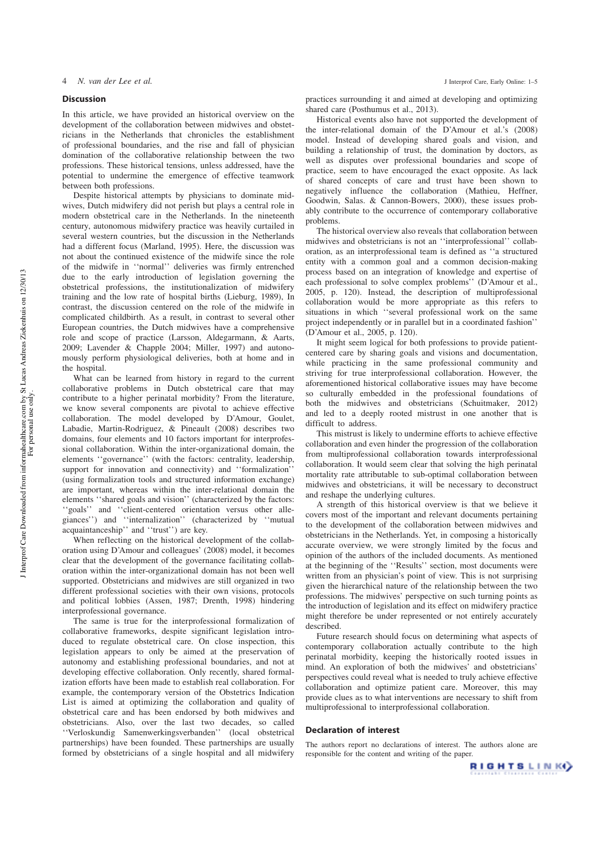4 N. van der Lee et al. J Interprof Care, Early Online: 1–5

# Discussion

In this article, we have provided an historical overview on the development of the collaboration between midwives and obstetricians in the Netherlands that chronicles the establishment of professional boundaries, and the rise and fall of physician domination of the collaborative relationship between the two professions. These historical tensions, unless addressed, have the potential to undermine the emergence of effective teamwork between both professions.

Despite historical attempts by physicians to dominate midwives, Dutch midwifery did not perish but plays a central role in modern obstetrical care in the Netherlands. In the nineteenth century, autonomous midwifery practice was heavily curtailed in several western countries, but the discussion in the Netherlands had a different focus (Marland, 1995). Here, the discussion was not about the continued existence of the midwife since the role of the midwife in ''normal'' deliveries was firmly entrenched due to the early introduction of legislation governing the obstetrical professions, the institutionalization of midwifery training and the low rate of hospital births (Lieburg, 1989), In contrast, the discussion centered on the role of the midwife in complicated childbirth. As a result, in contrast to several other European countries, the Dutch midwives have a comprehensive role and scope of practice (Larsson, Aldegarmann, & Aarts, 2009; Lavender & Chapple 2004; Miller, 1997) and autonomously perform physiological deliveries, both at home and in the hospital.

What can be learned from history in regard to the current collaborative problems in Dutch obstetrical care that may contribute to a higher perinatal morbidity? From the literature, we know several components are pivotal to achieve effective collaboration. The model developed by D'Amour, Goulet, Labadie, Martin-Rodriguez, & Pineault (2008) describes two domains, four elements and 10 factors important for interprofessional collaboration. Within the inter-organizational domain, the elements ''governance'' (with the factors: centrality, leadership, support for innovation and connectivity) and ''formalization'' (using formalization tools and structured information exchange) are important, whereas within the inter-relational domain the elements ''shared goals and vision'' (characterized by the factors: ''goals'' and ''client-centered orientation versus other allegiances'') and ''internalization'' (characterized by ''mutual acquaintanceship'' and ''trust'') are key.

When reflecting on the historical development of the collaboration using D'Amour and colleagues' (2008) model, it becomes clear that the development of the governance facilitating collaboration within the inter-organizational domain has not been well supported. Obstetricians and midwives are still organized in two different professional societies with their own visions, protocols and political lobbies (Assen, 1987; Drenth, 1998) hindering interprofessional governance.

The same is true for the interprofessional formalization of collaborative frameworks, despite significant legislation introduced to regulate obstetrical care. On close inspection, this legislation appears to only be aimed at the preservation of autonomy and establishing professional boundaries, and not at developing effective collaboration. Only recently, shared formalization efforts have been made to establish real collaboration. For example, the contemporary version of the Obstetrics Indication List is aimed at optimizing the collaboration and quality of obstetrical care and has been endorsed by both midwives and obstetricians. Also, over the last two decades, so called ''Verloskundig Samenwerkingsverbanden'' (local obstetrical partnerships) have been founded. These partnerships are usually formed by obstetricians of a single hospital and all midwifery practices surrounding it and aimed at developing and optimizing shared care (Posthumus et al., 2013).

Historical events also have not supported the development of the inter-relational domain of the D'Amour et al.'s (2008) model. Instead of developing shared goals and vision, and building a relationship of trust, the domination by doctors, as well as disputes over professional boundaries and scope of practice, seem to have encouraged the exact opposite. As lack of shared concepts of care and trust have been shown to negatively influence the collaboration (Mathieu, Heffner, Goodwin, Salas. & Cannon-Bowers, 2000), these issues probably contribute to the occurrence of contemporary collaborative problems.

The historical overview also reveals that collaboration between midwives and obstetricians is not an ''interprofessional'' collaboration, as an interprofessional team is defined as ''a structured entity with a common goal and a common decision-making process based on an integration of knowledge and expertise of each professional to solve complex problems'' (D'Amour et al., 2005, p. 120). Instead, the description of multiprofessional collaboration would be more appropriate as this refers to situations in which ''several professional work on the same project independently or in parallel but in a coordinated fashion'' (D'Amour et al., 2005, p. 120).

It might seem logical for both professions to provide patientcentered care by sharing goals and visions and documentation, while practicing in the same professional community and striving for true interprofessional collaboration. However, the aforementioned historical collaborative issues may have become so culturally embedded in the professional foundations of both the midwives and obstetricians (Schuitmaker, 2012) and led to a deeply rooted mistrust in one another that is difficult to address.

This mistrust is likely to undermine efforts to achieve effective collaboration and even hinder the progression of the collaboration from multiprofessional collaboration towards interprofessional collaboration. It would seem clear that solving the high perinatal mortality rate attributable to sub-optimal collaboration between midwives and obstetricians, it will be necessary to deconstruct and reshape the underlying cultures.

A strength of this historical overview is that we believe it covers most of the important and relevant documents pertaining to the development of the collaboration between midwives and obstetricians in the Netherlands. Yet, in composing a historically accurate overview, we were strongly limited by the focus and opinion of the authors of the included documents. As mentioned at the beginning of the ''Results'' section, most documents were written from an physician's point of view. This is not surprising given the hierarchical nature of the relationship between the two professions. The midwives' perspective on such turning points as the introduction of legislation and its effect on midwifery practice might therefore be under represented or not entirely accurately described.

Future research should focus on determining what aspects of contemporary collaboration actually contribute to the high perinatal morbidity, keeping the historically rooted issues in mind. An exploration of both the midwives' and obstetricians' perspectives could reveal what is needed to truly achieve effective collaboration and optimize patient care. Moreover, this may provide clues as to what interventions are necessary to shift from multiprofessional to interprofessional collaboration.

#### Declaration of interest

The authors report no declarations of interest. The authors alone are responsible for the content and writing of the paper.